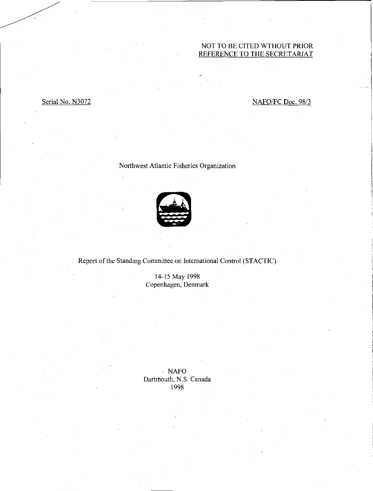# NOT TO BE CITED WTHOUT PRIOR REFERENCE TO THE SECRETARIAT

# Serial No. N3072 NAFO/FC Doc. 98/3

# Northwest Atlantic Fisheries Organization



# Report of the Standing Committee on International Control (STACTIC)

14-15 May 1998 Copenhagen, Denmark

NAFO Dartmouth, N.S. Canada 1998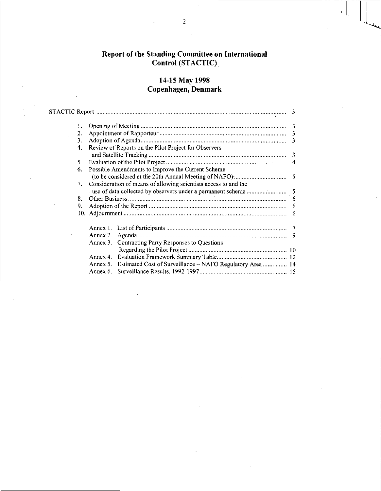# Report of the Standing Committee on International Control (STACTIC)

# 14-15 May 1998 Copenhagen, Denmark

l,

| 2. |          |                                                                    | 3  |
|----|----------|--------------------------------------------------------------------|----|
| 3. |          |                                                                    |    |
| 4. |          | Review of Reports on the Pilot Project for Observers               |    |
|    |          |                                                                    |    |
| 5. |          |                                                                    |    |
| 6. |          | Possible Amendments to Improve the Current Scheme                  |    |
|    |          |                                                                    |    |
| 7. |          | Consideration of means of allowing scientists access to and the    |    |
|    |          |                                                                    |    |
| 8. |          |                                                                    | 6  |
| 9. |          |                                                                    | 6  |
|    |          |                                                                    | 6  |
|    |          |                                                                    |    |
|    |          |                                                                    |    |
|    | Annex 2. |                                                                    | -9 |
|    | Annex 3. | Contracting Party Responses to Questions                           |    |
|    |          |                                                                    |    |
|    |          |                                                                    |    |
|    |          | Annex 5. Estimated Cost of Surveillance - NAFO Regulatory Area  14 |    |
|    | Annex 6. |                                                                    |    |
|    |          |                                                                    |    |

可能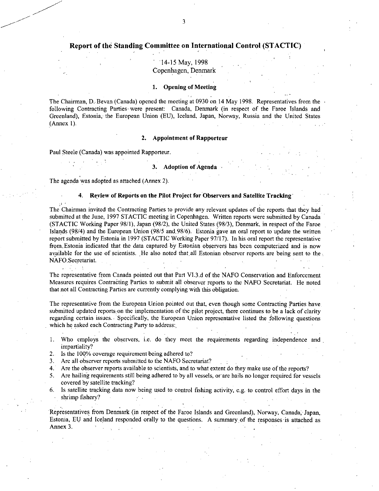# Report of the Standing Committee on International Control (STACTIC)

# • '14- <sup>15</sup>May, 1998 Copenhagen, Denmark

### **1. Opening of Meeting**

The Chairman, D. Bevan (Canada) opened the meeting at 0930 on 14 May 1998. Representatives from the  $\cdot$ following Contracting Parties- were present: Canada, Denmark (in respect of the Faroe Islands and Greenland), Estonia, the European Union (EU), Iceland, Japan, Norway, Russia and the United States (Annex **1).** 

### **2. Appointment of Rapporteur**

Paul Steele (Canada) was appointed Rapporteur.

**3. Adoption of Agenda** 

The agenda was adopted as attached (Annex 2).

### **4. Review of Reports on the Pilot Project forObservers and Satellite Tracking - •**

The Chairman invited the Contracting Parties to provide any relevant updates of the reports that they had submitted at the June, 1997 STACTIC meeting in Copenhagen. Written reports were submitted by Canada (STACTIC Working Paper 98/1), Japan (98/2), the United States (98/3), Denmark, in respect of the Faroe Islands (98/4) and the European Union (98/5 and.98/6). Estonia gave an oral report to update the written report submitted by Estonia in 1997 (STACTIC Working Paper 97/17). In his oral report the representative from, Estonia indicated that the data captured by Estonian observers has been computerized and is now available for the use of scientists. He also noted that all Estonian observer reports are being sent to the NAFO,Secretariat.

The representative from Canada pointed out that Part VI.3.d of the NAFO Conservation and Enforcement Measures requires Contracting Parties to submit all observer reports to the NAFO Secretariat. He noted that not all Contracting Parties are currently complying with this obligation.

The representative from the European Union pointed out that, even though some Contracting Parties have submitted updated reports: on the implementation of the pilot project, there continues to be a lack of clarity regarding certain issues.. Specifically, the European Union representative listed the following questions which he asked each Contracting Party to address:

- 1. Who employs the observers, i.e. do they meet the requirements regarding independence and impartiality?
- 2. Is the 100% coverage requirement being adhered to?
- 3. Are all observer reports submitted to the NAFO Secretariat?
- 4. Are the observer reports available to scientists, and to what extent do they make use of the reports?
- 5. Are hailing requirements still being adhered to by all vessels, or are hails no longer required for vessels covered by satellite tracking?
- 6. Is satellite tracking data now being used to control fishing activity, e.g. to control effort days in the shrimp fishery?

Representatives from Denmark (in respect of the Faroe Islands and Greenland), Norway, Canada, Japan, Estonia, EU and Iceland responded orally to the questions. A summary of the responses is attached as Annex 3.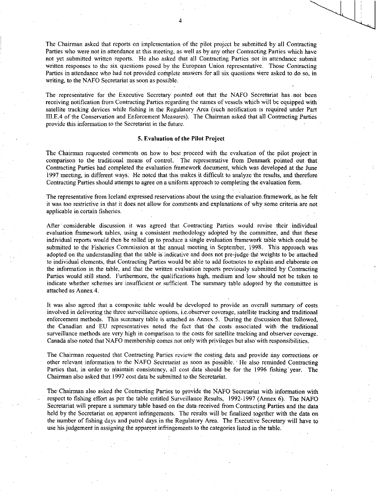The Chairman asked that reports on implementation of the pilot project be submitted by all Contracting Parties who were not in attendance at this meeting, as well as by any other Contracting Parties which have not yet submitted written reports. He also asked that all Contracting Parties not in attendance submit written responses to the six questions posed by the European Union representative. Those Contracting Parties in attendance who had not provided complete answers for all six questions were asked to do so, in writing, to the NAFO Secretariat as soon as possible.

The representative for the Executive Secretary pointed out that the NAFO Secretariat has . not been receiving notification from Contracting Parties regarding the names of vessels which will be equipped with satellite tracking devices while fishing in the Regulatory Area (such notification is required under Part III.E.4 of the Conservation and Enforcement Measures). The Chairman asked that all Contracting Parties provide this information to the Secretariat in the future.

#### 5. Evaluation of the Pilot Project

The Chairman requested comments on how to best proceed with the evaluation of the pilot project in comparison to the traditional means of control. The representative from Denmark pointed out that Contracting Parties had completed the evaluation framework document, which was developed at the June 1997 meeting, in different ways. He noted that this makes it difficult to analyze the results, and therefore Contracting Parties should attempt to agree on a uniform approach to completing the evaluation form.

The representative from Iceland expressed reservations about the using the evaluation.framework, as he felt it was too restrictive in that it does not allow for comments and explanations of why some criteria are not applicable in certain fisheries.

After' considerable discussion it was agreed that Contracting Parties would revise their individual evaluation framework tables, using a consistent methodology adopted by the committee, and that these individual reports would then be - rolled up to produce a single evaluation framework table which could be submitted to the Fisheries Commission at the annual meeting in September, 1998. This approach was adopted on the understanding that the table is indicative and does not pre-judge the weights to be attached to individual elements, that Contracting Parties would be able to add footnotes to explain-and elaborate on the information in the table, and that the written evaluation reports previously submitted by Contracting Parties would still stand. Furthermore, the qualifications high, medium and low should not be taken to indicate whether schemes are insufficient or sufficient. The summary table adopted by the committee is attached as Annex 4.

It was also agreed that a composite table would be developed to provide an overall summary of costs involved in delivering the three surveillance options, i.e.observer coverage, satellite tracking and traditional enforcement methods. This summary table is attached as Annex 5. During the discussion that followed, the Canadian and EU representatives noted the fact that the costs associated with the traditional surveillance methods are very high in comparison to the costs for satellite tracking and observer coverage. Canada also noted that NAFO membership comes not only with privileges but also with responsibilities.

The Chairman requested that Contracting Parties review the costing data and provide any corrections or other relevant information to the NAFO Secretariat as soon as possible. ' He also reminded Contracting Parties that, in order to niaintain consistency, all cost data should be for the 1996 fishing' year. The Chairman also asked that 1997 cost data be submitted to the Secretariat.

The Chairman also asked the Contracting Parties to provide the NAFO Secretariat with information with respect to fishing effort as per the table entitled Surveillance Results, 1992-1997 (Annex 6). The NAFO Secretariat will prepare a summary table based on the data received from Contracting Parties and the data held by the Secretariat on apparent infringements. The results will be finalized together with the data on the number of fishing days and patrol days,in the Regulatory Area. The Executive Secretary will have to use his judgement in assigning the apparent infringements to the categories listed in the table.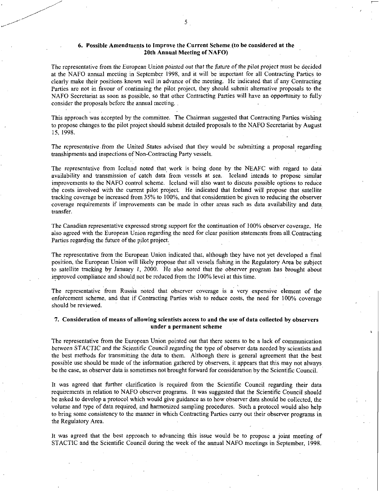### 6. Possible Amendments to Improve the Current Scheme (to be considered at the 20th Annual Meeting of NAFO)

The representative from the European Union *pointed out* that the *future of* the pilot project must be decided at the NAFO annual meeting in September 1998, and it will be important for all Contracting Parties to clearly make their positions known well in advance of the meeting. He indicated that if any Contracting Parties are not in favour of continuing the pilot project, they should submit alternative proposals to the NAFO Secretariat as soon as possible, so that other Contracting Parties will have an opportunity to fully consider the proposals before the annual meeting.

This approach was accepted by the committee. The Chairman suggested that Contracting Parties wishing to propose changes to the pilot project should submit detailed proposals to the NAFO Secretariat by August 15, 1998.

The *representative from* the United States *advised* that they would be submitting a proposal regarding transhipments and inspections of Non-Contracting Party vessels.

The representative from Iceland noted that work is being done by the NEAFC with regard to data availability and transmission of catch data from vessels at sea. Iceland intends to propose similar improvements to the NAFO control scheme. Iceland will also want to discuss possible options to reduce the costs involved with the current pilot project. He indicated that Iceland will propose that satellite tracking coverage be increased from 35% to 100%, and that consideration be given to reducing the observer coverage requirements if improvements can be made in other areas such as data availability and data transfer.

The Canadian representative expressed strong support for the continuation of 100% observer coverage. He also agreed with the European Union regarding the need for clear position statements from all. Contracting Parties regarding the future of the pilot project.

The representative from the European Union indicated that, although they have not yet developed a final position, the European Union will likely propose that all vessels fishing in the Regulatory Area be subject to satellite tracking by January 1, 2000. He also noted that the *observer program* has brought about improved compliance and should not be reduced from the 100% level at this time.

The representative from Russia noted that observer coverage is a very expensive element of the enforcement scheme, and that if Contracting Parties wish to reduce costs, the need for 100% coverage should be reviewed.

### 7. Consideration of means of allowing scientists access to and the use of data collected by observers under a permanent scheme

The representative from the European Union pointed out that there seems to be a lack of communication *between* STACTIC and the *Scientific* Council regarding the type of observer data needed by scientists and the best methods for transmitting the data to them. Although there is general agreement that the best possible use should be made of the information gathered by observers, it appears that this may not always be the case, as observer data is sometimes not brought forward for consideration by the Scientific Council.

It was agreed that further clarification is required from the Scientific Council regarding their data requirements in relation to NAFO observer programs. It was suggested that the Scientific Council should be asked to develop a protocol which would give guidance as to how observer data should be collected, the volume and type of data required, and harmonized sampling procedures. Such a protocol would also help to bring some consistency to the manner in which Contracting Parties carry out their observer programs in the Regulatory Area.

It was agreed that the best approach to advancing this issue would be to propose a joint meeting of STACTIC and the Scientific Council during the week of the annual NAFO meetings in September, 1998.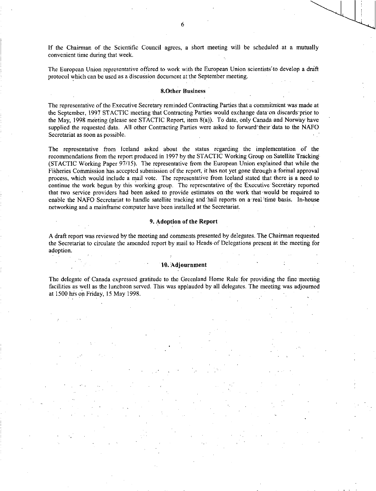If the Chairman of the Scientific Council agrees, a short meeting will be scheduled at a mutually convenient time during that week.

The European Union representative offered to work with the European Union scientists to develop a draft protocol which can be used as a discussion document at the September meeting.

### &Other Business

The representative of the Executive Secretary reminded Contracting Parties that a commitment was made at the September, 1997 STACTIC meeting that Contracting Parties would exchange data on discards prior to the May, 1998 meeting (please see STACTIC Report, item 8(a)). To date, only Canada and Norway have supplied the requested data. All other Contracting Parties were asked to forward their data to the NAFO Secretariat as soon as possible.

The representative from Iceland asked about the status regarding the implementation of the recommendations from the report produced in 1997 by the STACTIC Working Group on Satellite Tracking (STACTIC Working Paper 97/15). The representative from the European Union explained that while the Fisheries Commission has accepted submission of the report, it has not yet gone through a formal approval process, which would include a mail vote. The representative from Iceland stated that there is a need.to continue the work begun by this working group. The representative of the Executive Secretary reported that two service providers had been asked to provide estimates on the work that would be required to enable the NAFO Secretariat to handle satellite tracking and hail reports on a real time basis. In-house networking and a mainframe computer have been installed at the Secretariat.

### 9. Adoption of the Report

A draft report was reviewed by the meeting and comments presented by delegates. The Chairman requested the Secretariat to circulate the amended report by mail to Heads- of Delegations present at the meeting for adoption.

#### 10. Adjournment

The delegate of Canada expressed gratitude to the Greenland Home Rule for providing the fine meeting facilities as well as the luncheon served. This was applauded by all delegates. The meeting was adjourned at 1500 hrs on Friday, 15 May 1998.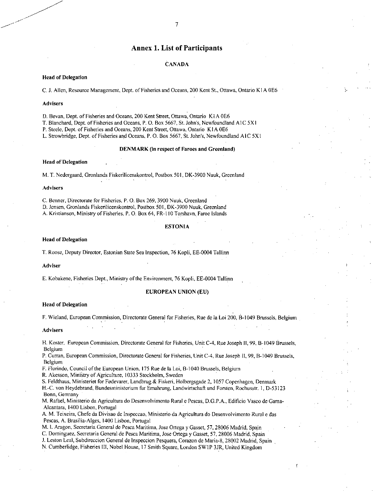## Annex 1. List of Participants

#### **CANADA**

### **Head of Delegation**

C. J. Allen, Resource Management, Dept. of Fisheries and Oceans, 200 Kent St., Ottawa, Ontario K I A 0E6

#### **Advisers**

D. Bevan, Dept. of Fisheries and Oceans, 200 Kent Street, Ottawa, Ontario KIA 0E6

**T.** Blanchard, Dept. of Fisheries and Oceans, P. O. Box 5667, St. John's, Newfoundland A1C 5X1

P. Steele, Dept. of Fisheries and Oceans, 200 Kent Street, Ottawa, Ontario K I A 0E6

L. Strowbridge, Dept. of Fisheries and Oceans, P.O. Box 5667, St. John's, Newfoundland AIC 5X1

#### **DENMARK (in respect of Faroes and Greenland)**

#### **Head of Delegation**

M. T. Nedergaard, Gronlands Fiskerilicenskontrol, Postbox 501, DK-3900 Nuuk, Greenland

#### **Advisers**

C. Benner, Directorate for Fisheries, P. **0.** Box 269, 3900 Nuuk, Greenland D. Jensen, Gronlands Fiskerilicenskontrol, Postbox 501, DK-3900 Nuuk, Greenland A. Kristiansen, Ministry of Fisheries, P. O. Box 64, FR-I 10 Torshavn, Faroe Islands

#### **ESTONIA**

#### **Head of Delegation**

**T.** Roose, Deputy Director, Estonian State Sea Inspection, 76 Kopli, EE-0004 Tallinn

#### **Adviser**

E. Kobakene, Fisheries Dept. , Ministry of the Environment, 76 Kopli, EE-0004 Tallinn

#### **EUROPEAN UNION (EU)**

#### **Head of Delegation**

F. Wieland, European Commission, Directorate General for Fisheries, Rue de la Loi 200,13-1049 Brussels, Belgium

#### **Advisers**

**H.** Koster, European Commission, Directorate General for Fisheries, Unit C-4, Rue Joseph II, 99, B-1049 Brussels, Belgium

P. Curran, European Commission, Directorate General for Fisheries, Unit C-4, Rue Joseph II, 99, B-1049 Brussels, Belgium

F. Florindo, Council of the European Union, 175 Rue de la Loi, B-1040 Brussels, Belgium

R. Akesson, MiniStry of Agriculture, 10333 Stockholm, Sweden

S. Feldthaus, Ministeriet for Fodevarer, Landbrug & Fiskeri, Holbergsgade 2, 1057 Copenhagen, Denmark H.-C. von Heydebrand, Bundesministerium fur Emahrung, Landwirtschaft and Forsten, Rochusstr. 1, D-53123 Bonn, Germany

M. Rafael, Ministerio da Agricultura do Desenvolvimento Rural e Pescas, D.G.P.A., Edificio Vasco de Gama-Alcantara, 1400 Lisbon, Portugal

A. M. Teixeira, Chefe da Divisao de Inspeccao, Ministerio da Agricultura do Desenvolvimento Rural e das Pescas, A. Brasilia-Alges, 1400 Lisbon, Portugal

M. I. Aragon, Secretaria General de Pesca Maritima, Jose Ortega y Gasset, 57, 28006 Madrid, Spain

C. Dominguez, Secretaria General de Pesca Maritima, Jose Ortega y Gasset, 57, 28006 Madrid, Spain

J. Leston Leal, Subdireccion General de Inspeccion Pesquera, Corazon de Maria-8, 28002 Madrid, Spain

N. Cumberlidge, Fisheries III, Nobel. House, 17 Smith Square, London SW1P 3112, United Kingdom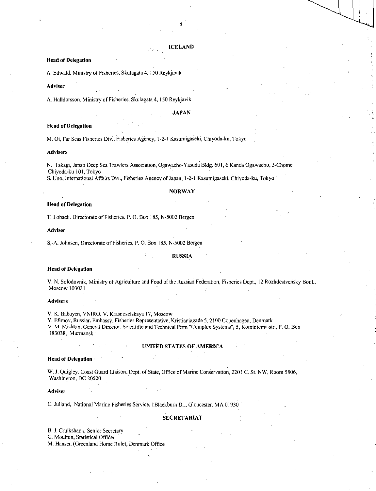### **ICELAND**

### **Head of Delegation**

A. Edwald, Ministry of Fisheries, Skulagata 4, 150 Reykjavik

#### **Adviser**

A. Halldorsson, Ministry of Fisheries, Skulagata 4, 150 Reykjavik

#### **JAPAN**

#### **Head of Delegation**

M. Oi, Far Seas Fisheries Div., Fisheries Agency, 1-2-1 Kasumigaseki, Chiyoda-ku, Tokyo

#### **Advisers**

N. Takagi, Japan Deep Sea Trawlers Association, Ogawacho-Yasuda Bldg. 601, 6 Kanda Ogawacho, Chiyoda-ku 101, Tokyo

S. Uno, International Affairs Div., Fisheries Agency of Japan, 1-2-1 Kasumigaseki, Chiyoda-ku, Tokyo

#### **NORWAY**

#### **Head of Delegation**

T. Lobach, Directorate of Fisheries, P. O. Box 185, N-5002 Bergen

#### **Adviser**

S.-A. Johnsen, Directorate of Fisheries, P. O. Box 185, N-5002 Bergen

#### **RUSSIA**

#### **Head of Delegation**

V. N. Solodovnik, Ministry of Agriculture and Food of the Russian Federation, Fisheries Dept., 12 Rozhdestvensky Boul., Moscow **103031** 

#### **Advisers**

**V.** K. Babayen, VNIRO, V. Krasnoselskaya 17, Moscow

Y. Efimov, Russian Embassy, Fisheries Representative, Kristianiagade 5, 2100 Copenhagen, Denmark V. M. Mishkin, General Director, Scientific and Technical Firm "Complex Systems", 5,•Komintema str., P. **0** Box 183038, Murmansk

#### **UNITED STATES OF AMERICA**

#### **Head of Delegation**

W. J. Quigley, Coast Guard Liaison, Dept. of State, Office of Marine Conservation, 2201 C. St. NW, Room 5806, Washington, DC 20520

#### **Adviser**

C. Juliand, National Marine Fisheries Service, !Blackburn Dr., Gloucester, MA 01930

#### **SECRETARIAT**

**B.** J. Cruikshank, Senior Secretary G. Moulton, Statistical Officer

M. Hansen (Greenland Home Rule), Denmark Office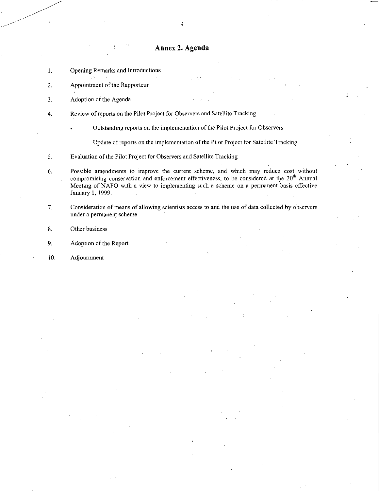# Annex 2. Agenda

- 1. Opening Remarks and Introductions
- 2. Appointment of the Rapporteur

3. Adoption of the Agenda

- 4. Review of reports on the Pilot Project for Observers and Satellite Tracking
	- Outstanding reports on the implementation of the Pilot Project for Observers
		- Update of reports on the implementation of the Pilot Project for Satellite Tracking

5. Evaluation of the Pilot Project for Observers and Satellite Tracking

- 6. Possible amendments to improve the current scheme, and which may reduce cost without compromising conservation and enforcement effectiveness, to be considered at the 20<sup>th</sup> Annual Meeting of NAFO with a view to implementing such a scheme on a permanent basis effective January 1, 1999.
- 7. Consideration of means of allowing scientists access to and the use of data collected by observers under a permanent scheme
- 8. Other business
- 9. Adoption of the Report
- 10. Adjournment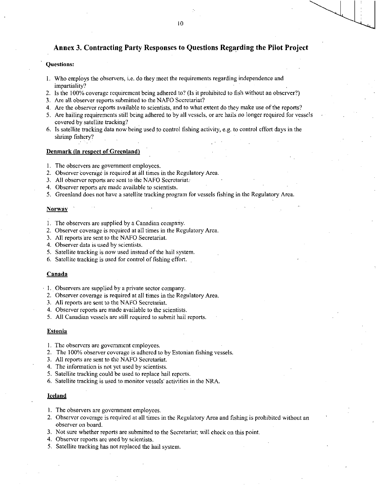# Annex 3. Contracting Party Responses to Questions Regarding the Pilot Project

### Questions:

- 1. Who employs the observers, i.e. do they meet the requirements regarding independence and impartiality?
- 2. Is the 100% coverage requirement being adhered to? (Is it prohibited to fish without an observer?)
- 3. Are all observer reports submitted to the NAFO Secretariat?
- 4. Are the observer reports available to scientists, and to what extent do they make use of the reports?
- 5. Are hailing requirements still being adhered to by all vessels, or are hails no longer required for vessels covered by satellite tracking?
- 6. Is satellite tracking data now being used to control fishing activity, e.g. to control effort days in the shrimp fishery?

### Denmark (in respect of Greenland)

- 1. The observers are government employees.
- 2. Observer coverage is required at all times in the Regulatory Area.
- 3. All observer reports are sent to the NAFO Secretariat..
- 4. Observer reports are made available to scientists.
- 5. Greenland does not have a satellite tracking program for vessels fishing in the Regulatory Area.

#### **Norway**

- 1. The observers are supplied by a Canadian company.
- 2. Observer coverage is required at all times in the Regulatory Area.
- 3. All reports are sent to the NAFO Secretariat.
- 4. Observer data is used by scientists.
- 5. Satellite tracking is now used instead of the hail system.
- 6. Satellite tracking is used for control of fishing effort.

#### Canada

- 1. Observers are supplied by a private sector company.
- 2. Observer coverage is required at all times in the Regulatory Area.
- 3. All reports are sent to the NAFO Secretariat.
- 4. Observer reports are made available to the scientists.
- 5. All Canadian vessels are still required to submit hail reports.

#### **Estonia**

- 1. The observers are government employees.
- 2. The 100% observer coverage is adhered to by Estonian fishing vessels.
- 3. All reports are sent to the NAFO Secretariat.
- 4. The information is not yet used by scientists.
- 5. Satellite tracking could be used to replace hail reports.
- 6. Satellite tracking is used to monitor vessels' activities in the NRA.

#### Iceland

- 1. The observers are government employees.
- 2. Observer coverage is required at all times in the Regulatory Area and fishing is prohibited without an observer on board.
- 3. Not sure whether reports are submitted to the Secretariat; will check on this point.
- 4. Observer reports are used by scientists.
- 5. Satellite tracking has not replaced the hail system.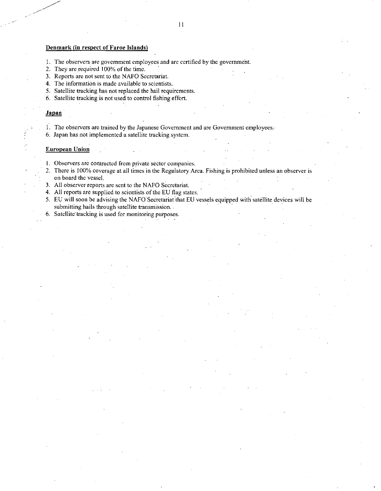### Denmark (in respect of Faroe Islands)

- I. The observers are government employees and are certified by the government.
- 2. They are required 100% of the time.
- 3. Reports are not sent to the NAFO Secretariat.
- 4. The information is made available to scientists.
- 5. Satellite tracking has not replaced the hail requirements.
- 6. Satellite tracking is not used to control fishing effort.

#### Japan

- 1. The observers are trained by the Japanese Government and are Government employees.
- 6. Japan has not implemented a satellite tracking system.

#### European Union

- I. Observers are contracted from private sector companies.
- 2. There is 100% coverage at all times in the Regulatory Area. Fishing is prohibited unless an observer is on board the vessel.
- 3. All observer reports are sent to the NAFO Secretariat.
- 4. All reports are supplied to scientists of the EU flag states.
- 5. EU will soon be advising the NAFO Secretariat that EU vessels equipped with satellite devices will be submitting hails through satellite transmission.
- 6. Satellite tracking is used for monitoring purposes.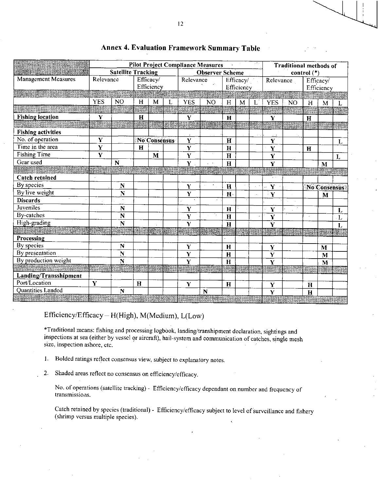|                            |             |                           |             |                         |   |                         | <b>Pilot Project Compliance Measures</b> |              |                         |  | <b>Traditional methods of</b> |           |             |                         |           |
|----------------------------|-------------|---------------------------|-------------|-------------------------|---|-------------------------|------------------------------------------|--------------|-------------------------|--|-------------------------------|-----------|-------------|-------------------------|-----------|
|                            |             | <b>Satellite Tracking</b> |             |                         |   |                         | <b>Observer Scheme</b>                   |              |                         |  | control $(*)$                 |           |             |                         |           |
| <b>Management Measures</b> | Relevance   |                           |             | Efficacy/<br>Efficiency |   | Relevance               |                                          |              | Efficacy/<br>Efficiency |  | Relevance                     |           |             | Efficacy/<br>Efficiency |           |
|                            |             |                           |             |                         |   |                         |                                          |              |                         |  |                               |           |             |                         |           |
|                            | <b>YES</b>  | NO <sub></sub>            | H           | M                       | L | <b>YES</b>              | N <sub>O</sub>                           | H            | M                       |  | <b>YES</b>                    | <b>NO</b> | H           | M                       |           |
|                            |             |                           |             |                         |   |                         |                                          |              |                         |  |                               |           |             |                         |           |
| <b>Fishing location</b>    | $\mathbf Y$ |                           | $\bf H$     |                         |   | $\mathbf Y$             |                                          | $\mathbf H$  |                         |  | $\mathbf Y$                   |           | $\mathbf H$ |                         |           |
|                            |             |                           |             |                         |   |                         |                                          |              |                         |  |                               |           |             |                         |           |
| <b>Fishing activities</b>  |             |                           |             |                         |   |                         |                                          |              |                         |  |                               |           |             |                         |           |
| No. of operation           | $\mathbf Y$ |                           |             | <b>No Consensus</b>     |   | $\mathbf Y$             |                                          | $\mathbf H$  |                         |  | $\mathbf Y$                   |           |             |                         | L         |
| Time in the area           | $\mathbf Y$ |                           | $\bf H$     |                         |   | Y                       |                                          | $\mathbf H$  |                         |  | Y                             |           | $\mathbf H$ |                         |           |
| Fishing Time               | Y           |                           |             | $\bf M$                 |   | $\mathbf Y$             |                                          | $\mathbf H$  |                         |  | Y                             |           |             |                         | L         |
| Gear used                  |             | $\mathbf N$               |             |                         |   | $\mathbf Y$             |                                          | $\mathbf H$  |                         |  | Ÿ                             |           |             | M                       |           |
|                            |             |                           |             |                         |   |                         |                                          |              |                         |  |                               |           |             |                         |           |
| <b>Catch retained</b>      |             |                           |             |                         |   |                         |                                          |              |                         |  |                               |           |             |                         |           |
| By species                 |             | $\mathbf N$               |             |                         |   | $\mathbf Y$             |                                          | $\mathbf H$  |                         |  | Y                             |           |             | <b>No Consensus</b>     |           |
| By live weight             |             | $\overline{\mathbf{N}}$   |             |                         |   | $\mathbf Y$             |                                          | $\mathbf{H}$ |                         |  | Y                             |           |             | M                       |           |
| <b>Discards</b>            |             |                           |             |                         |   |                         |                                          |              |                         |  |                               |           |             |                         |           |
| Juveniles                  |             | N                         |             |                         |   | $\mathbf Y$             |                                          | $\mathbf{H}$ |                         |  | $\dot{\mathbf{Y}}$            |           |             |                         | L         |
| <b>By-catches</b>          |             | N                         |             |                         |   | $\overline{\mathbf{Y}}$ |                                          | $\mathbf H$  |                         |  | $\overline{\textbf{Y}}$       |           |             |                         | $\cdot$ L |
| High-grading               |             | $\overline{\mathbf{N}}$   |             |                         |   | $\overline{\mathbf{Y}}$ |                                          | $\mathbf H$  |                         |  | $\overline{\mathbf{Y}}$       |           |             |                         | L         |
|                            |             |                           |             |                         |   |                         |                                          |              |                         |  |                               |           |             |                         |           |
| Processing                 |             |                           |             |                         |   |                         |                                          |              |                         |  |                               |           |             |                         |           |
| By species                 |             | N                         |             |                         |   | Y                       |                                          | H            |                         |  | Y                             |           |             | M                       |           |
| By presentation            |             | N                         |             |                         |   | $\overline{\mathbf{Y}}$ |                                          | $\mathbf H$  |                         |  | $\mathbf Y$                   |           |             | $\mathbf M$             |           |
| By production weight       |             | N                         |             |                         |   | Ý                       |                                          | $\mathbf H$  |                         |  | $\overline{\mathbf{Y}}$       |           |             | $\mathbf M$             |           |
|                            |             |                           |             |                         |   |                         |                                          |              |                         |  |                               |           |             |                         |           |
| Landing/Transshipment      |             |                           |             |                         |   |                         |                                          |              |                         |  |                               |           |             |                         |           |
| Port/Location              | Y           |                           | $\mathbf H$ |                         |   | Y                       |                                          | $\mathbf{H}$ |                         |  | $\mathbf Y$                   |           | H           |                         |           |
| Quantities Landed          |             | $\overline{\bf N}$        |             |                         |   |                         | N                                        |              |                         |  | Ÿ                             |           | H           |                         |           |
|                            |             |                           |             |                         |   |                         |                                          |              |                         |  |                               |           |             | s an                    |           |

# **Annex 4. Evaluation Framework Summary Table**

# Efficiency/Efficacy— H(High), M(Medium), L(Low)

\*Traditional means: fishing and processing logbook, landing/transhipment declaration, sightings and inspections at sea (either by vessel or aircraft), hail-system and communication of catches, single mesh size, inspection ashore, etc.

- 1. Bolded ratings reflect consensus view, subject to explanatory notes.
- 2. Shaded areas reflect no consensus on efficiency/efficacy.

No. of operations (satellite tracking) - Efficiency/efficacy dependant on number and frequency of transmissions.

Catch retained by species (traditional) - Efficiency/efficacy subject to level of surveillance and fishery (shrimp versus multiple species).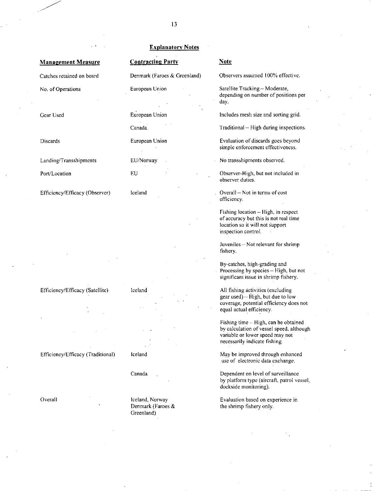## Management Measure Contracting Party Note

Gear Used

**Discards** 

Landing/Transshipments

Port/Location

Efficiency/Efficacy (Observer)

Efficiency/Efficacy (Satellite) Iceland Iceland All fishing activities (excluding

Overall

### Explanatory Notes

European Union

Canada

European Union

EU/Norway

EU

Iceland

Canada

Iceland, Norway Denmark (Faroes & Greenland)

Catches retained on board Denmark (Faroes *&* Greenland) Observers assumed 100% effective.

No. of Operations European Union Satellite Tracking — Moderate, depending on number of positions per day.

Includes mesh size and sorting grid.

Traditional — High during inspections.

Evaluation of discards goes beyond simple enforcement effectiveness.

No transshipments observed.

Observer-High, but not included in observer duties.

Overall — Not in terms of cost efficiency.

Fishing location — High, in respect of accuracy but this is not real time location so it will not support inspection control.

Juveniles— Not relevant for shrimp fishery.

By-catches, high-grading and Processing by species — High, but not significant issue in shrimp fishery.

gear used) — High, but due to low coverage, potential efficiency does not equal actual efficiency.

Fishing time — High, can be obtained by calculation of vessel speed, although variable or lower speed may not necessarily indicate fishing.

Efficiency/Efficacy (Traditional) Iceland May be improved through enhanced use of electronic data exchange.

> Dependent on level of surveillance by platform type (aircraft, patrol vessel, dockside monitoring).

Evaluation based on experience in the shrimp fishery only.

13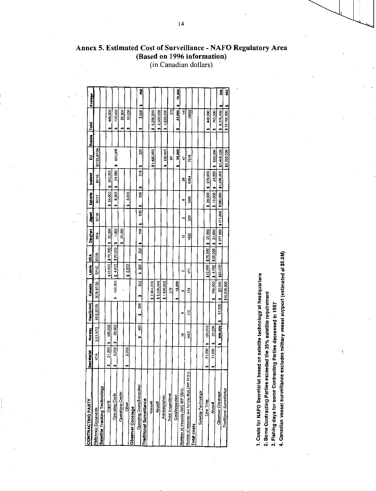| CONTRACTING PARTY                              | retariat<br>š | No way       | Dan(Grind)  | Canada               | Laivia                                                                | ś             | Den(Far)            | Japan   | Eutonia      | <b>Icelend</b>                 | 귾                       | Russia | <u>Foto</u>       | Average     |
|------------------------------------------------|---------------|--------------|-------------|----------------------|-----------------------------------------------------------------------|---------------|---------------------|---------|--------------|--------------------------------|-------------------------|--------|-------------------|-------------|
| <b>Relerance Documents</b>                     | $9^{7/4}$     | 97/1,97/2    | 97/3.97/25  | 87/18.97/32          | 37/12                                                                 | 82/29         | <b>98/4</b>         | 97/16   | 27/17        | 97/19                          | 97/33,97/34             |        |                   |             |
| Satellite Tracking Technology                  |               |              |             |                      |                                                                       |               |                     |         |              |                                |                         |        |                   |             |
| Capital                                        | 21,000<br>w   | 100,000      |             |                      | \$12,000                                                              | \$70,000      | 22.000<br>tr)       |         | 24,000<br>u  | 200,000<br>w,                  |                         |        | 449,000<br>G)     |             |
| Operating Costs                                | 6.000         | 20,000<br>ω. |             |                      | $150,000$ $\frac{1}{3}$ \$ 4,000 $\frac{1}{3}$ \$20,000 $\frac{1}{2}$ |               | $\frac{8}{2}$<br>., |         | 8,000<br>÷   | 24,000<br>t.                   | 500,000<br>w            |        | 733,000<br>49     |             |
| <b>Operations Center</b>                       |               |              |             |                      |                                                                       |               | 20,00<br>w          |         |              |                                |                         |        | 20,000<br>t٩      |             |
| Other                                          | 5,000         |              |             |                      | 2.000                                                                 |               |                     |         | 3,000<br>w   |                                |                         |        | 10,000<br>ø       |             |
| Observer Coverage                              |               |              |             |                      |                                                                       |               |                     |         |              |                                |                         |        |                   |             |
| Operating Costs(\$/sea day)                    |               | Ş<br>w       | 388<br>u)   | SS <sub>3</sub><br>w | Z<br>v,                                                               | 3S<br>3<br>t, | ş<br>ø              | 53<br>ø | ន្លឹ<br>u,   | 318<br>Ø                       | 20<br>m                 |        | 3,558<br>t.       | Ø,<br>œ     |
| Traditional Surveillance                       |               |              |             |                      |                                                                       |               |                     |         |              |                                |                         |        |                   |             |
| Vessels                                        |               |              |             | \$3,800,000          |                                                                       |               |                     |         |              |                                | \$1,400,000             |        | 5,200,000<br>t.   |             |
| Aircrait                                       |               |              |             | \$5,500,000          |                                                                       |               |                     |         |              |                                |                         |        | 5.500,000<br>u,   |             |
| Administration                                 |               |              |             | \$1,500,000          |                                                                       |               |                     |         |              |                                | 150,000<br>w            |        | 1 650,000<br>u,   |             |
| Total Inspections                              |               |              |             | 278                  |                                                                       |               |                     |         |              |                                | န္တ                     |        | $\overline{5}$    |             |
| Cost/Inspection                                |               |              |             | 19,000<br>÷          |                                                                       |               |                     |         |              |                                | 24,000<br>ú             |        | 43.000<br>w,      | 18,000<br>v |
| Number of Vessels (WG WP 98/4)                 |               | ٩            | ø           | തു്                  | Ø                                                                     |               | 쁘                   | N       | ø            | ę,                             | Э                       |        | $\frac{1}{4}$     |             |
| Number of observer and fishing days (WP 97/21) |               | 1550         | i.S         | <b>P</b>             | Ë                                                                     |               | 38                  | 320     | ŝ            | 5864                           | 7678                    |        | 1902              |             |
| Total costs                                    |               |              |             |                      |                                                                       |               |                     |         |              |                                |                         |        |                   |             |
| Satellite Technology                           |               |              |             |                      |                                                                       |               |                     |         |              |                                |                         |        |                   |             |
| One Time                                       | 21,000<br>w   | 100,000<br>u |             |                      | \$12,000 \$70,000                                                     |               | 22.000<br>u         |         | 24,000<br>u, | 200,000<br>w,                  |                         |        | 449,000<br>w      |             |
| Annual                                         | 11,000<br>w   | 20,000<br>t, |             | 150,000<br>tr.       | \$6,000                                                               | \$20,000      | 21,000<br>u         |         | \$11,000     | 24.000<br>$\ddot{\phantom{0}}$ | 500,000<br>41           |        | 763,000<br>w      |             |
| Observer Coverage                              |               | 606,000<br>v | 67.000<br>v | 63,000<br>ø          | \$60,000                                                              |               | \$377,000           | 1177000 | \$380,000    |                                | \$1,896,000 \$2,456,000 |        | \$ 6,076,000      | Š<br>41     |
| Traditional Surveillance                       |               |              |             | \$10,800,000         |                                                                       |               |                     |         |              |                                | \$2,350,000             |        | \$13,150,000   \$ | 582         |

Annex 5. Estimated Cost of Surveillance - NAFO Regulatory Area (Based on 1996 information) (in Canadian dollars)

1. Costs for NAFO Secretariat based on satellite technology at headquarters

2. Some Contracting Parties exceeded the 35% satellite requirement

3. Fishing days for some Contracting Parties decreased in 1997

4. Canadian vessel surveillance excludes military vessel support (estimated at \$5.0M)

 $\overline{1}$